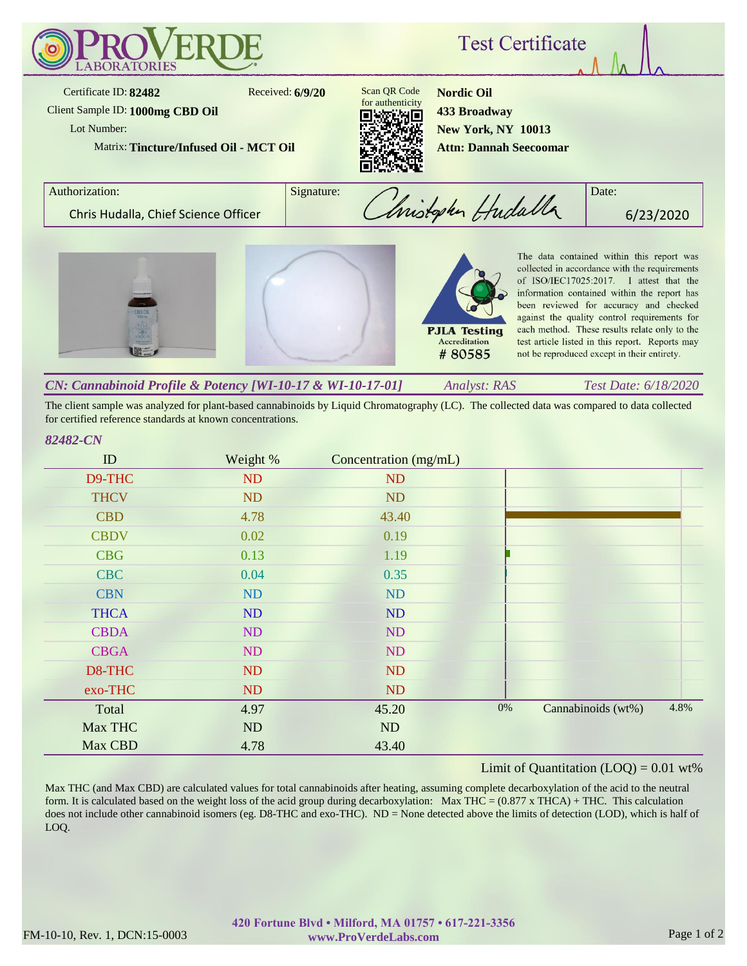

The client sample was analyzed for plant-based cannabinoids by Liquid Chromatography (LC). The collected data was compared to data collected for certified reference standards at known concentrations.

## *82482-CN*

| ID          | Weight %  | Concentration (mg/mL) |       |                    |      |
|-------------|-----------|-----------------------|-------|--------------------|------|
| D9-THC      | ND        | ND                    |       |                    |      |
| <b>THCV</b> | <b>ND</b> | <b>ND</b>             |       |                    |      |
| <b>CBD</b>  | 4.78      | 43.40                 |       |                    |      |
| <b>CBDV</b> | 0.02      | 0.19                  |       |                    |      |
| <b>CBG</b>  | 0.13      | 1.19                  |       |                    |      |
| <b>CBC</b>  | 0.04      | 0.35                  |       |                    |      |
| <b>CBN</b>  | ND        | <b>ND</b>             |       |                    |      |
| <b>THCA</b> | ND        | ND                    |       |                    |      |
| <b>CBDA</b> | ND        | <b>ND</b>             |       |                    |      |
| <b>CBGA</b> | ND        | ND                    |       |                    |      |
| D8-THC      | ND        | <b>ND</b>             |       |                    |      |
| exo-THC     | ND        | ND                    |       |                    |      |
| Total       | 4.97      | 45.20                 | $0\%$ | Cannabinoids (wt%) | 4.8% |
| Max THC     | ND        | ND                    |       |                    |      |
| Max CBD     | 4.78      | 43.40                 |       |                    |      |

## Limit of Quantitation  $(LOQ) = 0.01$  wt%

Max THC (and Max CBD) are calculated values for total cannabinoids after heating, assuming complete decarboxylation of the acid to the neutral form. It is calculated based on the weight loss of the acid group during decarboxylation: Max THC =  $(0.877 \times THCA) + THC$ . This calculation does not include other cannabinoid isomers (eg. D8-THC and exo-THC). ND = None detected above the limits of detection (LOD), which is half of LOQ.